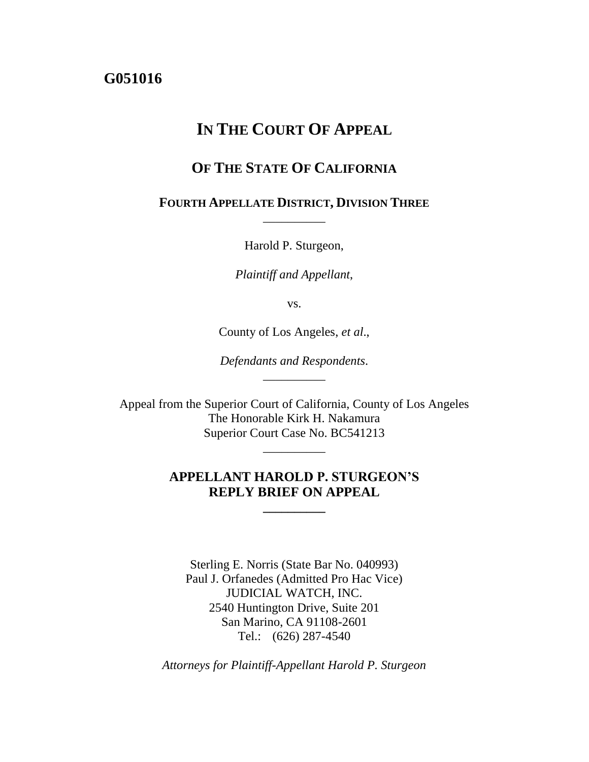# **G051016**

# **IN THE COURT OF APPEAL**

# **OF THE STATE OF CALIFORNIA**

## **FOURTH APPELLATE DISTRICT, DIVISION THREE** \_\_\_\_\_\_\_\_\_\_

Harold P. Sturgeon,

*Plaintiff and Appellant*,

vs.

County of Los Angeles, *et al*.,

*Defendants and Respondents*. \_\_\_\_\_\_\_\_\_\_

Appeal from the Superior Court of California, County of Los Angeles The Honorable Kirk H. Nakamura Superior Court Case No. BC541213

\_\_\_\_\_\_\_\_\_\_

## **APPELLANT HAROLD P. STURGEON'S REPLY BRIEF ON APPEAL**

**\_\_\_\_\_\_\_\_\_\_**

Sterling E. Norris (State Bar No. 040993) Paul J. Orfanedes (Admitted Pro Hac Vice) JUDICIAL WATCH, INC. 2540 Huntington Drive, Suite 201 San Marino, CA 91108-2601 Tel.: (626) 287-4540

*Attorneys for Plaintiff-Appellant Harold P. Sturgeon*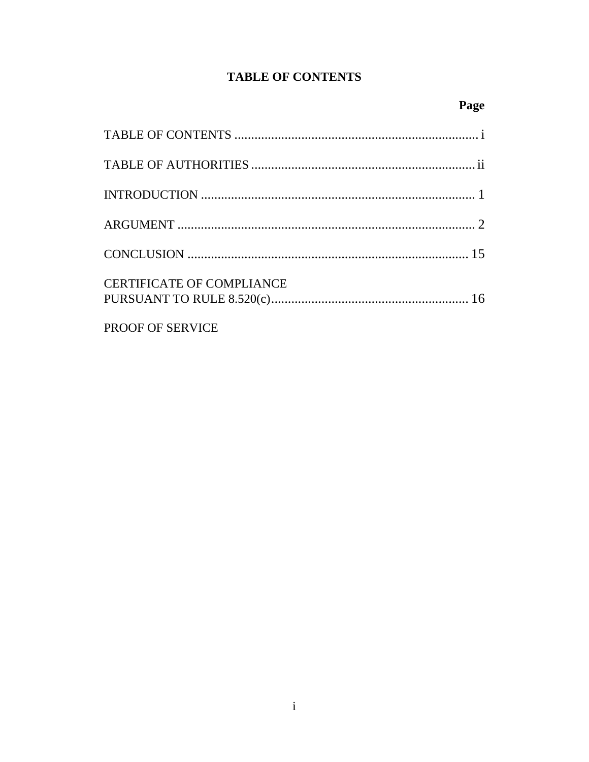# **TABLE OF CONTENTS**

| <b>CERTIFICATE OF COMPLIANCE</b> |
|----------------------------------|
| PROOF OF SERVICE                 |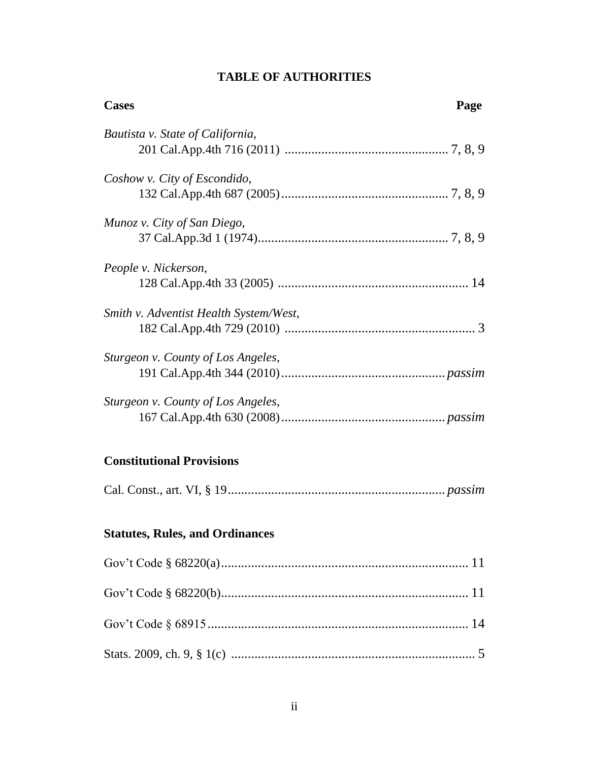| <b>Cases</b><br>Page                   |
|----------------------------------------|
| Bautista v. State of California,       |
| Coshow v. City of Escondido,           |
| Munoz v. City of San Diego,            |
| People v. Nickerson,                   |
| Smith v. Adventist Health System/West, |
| Sturgeon v. County of Los Angeles,     |
| Sturgeon v. County of Los Angeles,     |
| <b>Constitutional Provisions</b>       |
|                                        |
| <b>Statutes, Rules, and Ordinances</b> |
|                                        |
|                                        |
|                                        |
|                                        |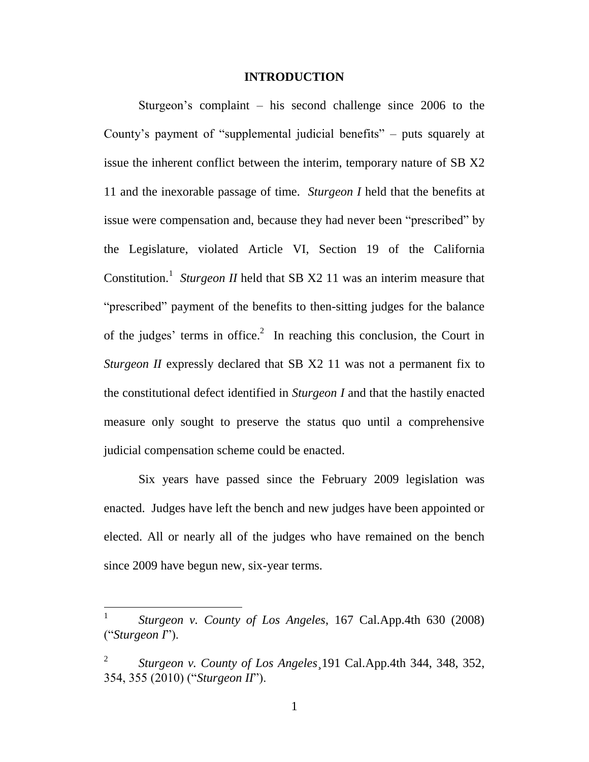### **INTRODUCTION**

Sturgeon's complaint – his second challenge since 2006 to the County's payment of "supplemental judicial benefits" – puts squarely at issue the inherent conflict between the interim, temporary nature of SB X2 11 and the inexorable passage of time. *Sturgeon I* held that the benefits at issue were compensation and, because they had never been "prescribed" by the Legislature, violated Article VI, Section 19 of the California Constitution.<sup>1</sup> Sturgeon *II* held that SB X2 11 was an interim measure that "prescribed" payment of the benefits to then-sitting judges for the balance of the judges' terms in office.<sup>2</sup> In reaching this conclusion, the Court in *Sturgeon II* expressly declared that SB X2 11 was not a permanent fix to the constitutional defect identified in *Sturgeon I* and that the hastily enacted measure only sought to preserve the status quo until a comprehensive judicial compensation scheme could be enacted.

Six years have passed since the February 2009 legislation was enacted. Judges have left the bench and new judges have been appointed or elected. All or nearly all of the judges who have remained on the bench since 2009 have begun new, six-year terms.

<sup>1</sup> *Sturgeon v. County of Los Angeles*, 167 Cal.App.4th 630 (2008) ("*Sturgeon I*").

<sup>2</sup> *Sturgeon v. County of Los Angeles*¸191 Cal.App.4th 344, 348, 352, 354, 355 (2010) ("*Sturgeon II*").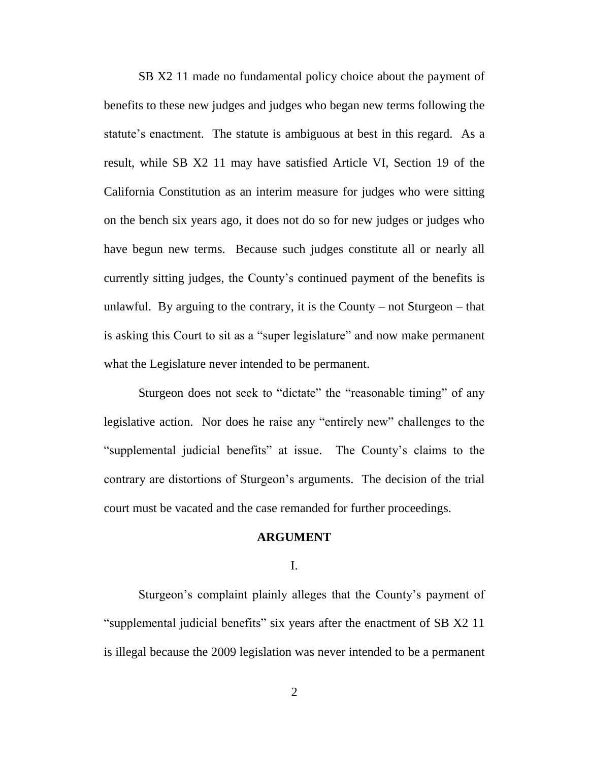SB X2 11 made no fundamental policy choice about the payment of benefits to these new judges and judges who began new terms following the statute's enactment. The statute is ambiguous at best in this regard. As a result, while SB X2 11 may have satisfied Article VI, Section 19 of the California Constitution as an interim measure for judges who were sitting on the bench six years ago, it does not do so for new judges or judges who have begun new terms. Because such judges constitute all or nearly all currently sitting judges, the County's continued payment of the benefits is unlawful. By arguing to the contrary, it is the County – not Sturgeon – that is asking this Court to sit as a "super legislature" and now make permanent what the Legislature never intended to be permanent.

Sturgeon does not seek to "dictate" the "reasonable timing" of any legislative action. Nor does he raise any "entirely new" challenges to the "supplemental judicial benefits" at issue. The County's claims to the contrary are distortions of Sturgeon's arguments. The decision of the trial court must be vacated and the case remanded for further proceedings.

#### **ARGUMENT**

I.

Sturgeon's complaint plainly alleges that the County's payment of "supplemental judicial benefits" six years after the enactment of SB X2 11 is illegal because the 2009 legislation was never intended to be a permanent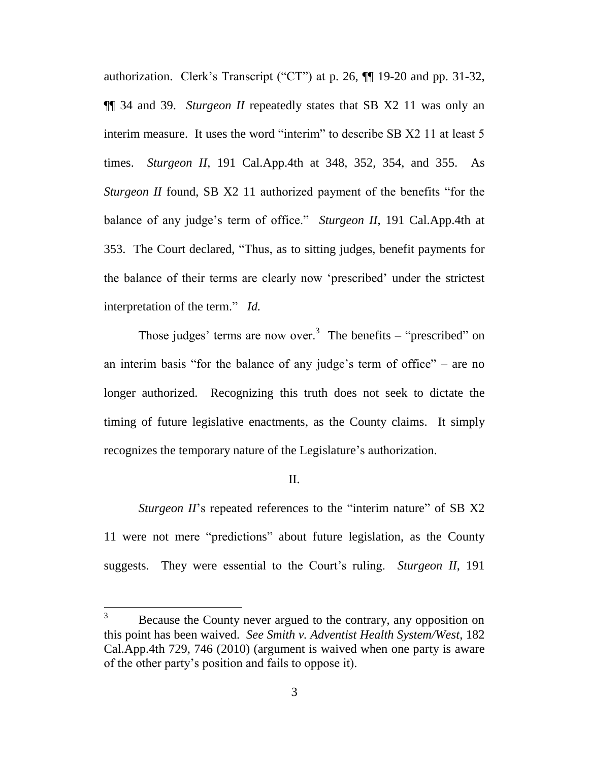authorization. Clerk's Transcript ("CT") at p. 26, ¶¶ 19-20 and pp. 31-32, ¶¶ 34 and 39. *Sturgeon II* repeatedly states that SB X2 11 was only an interim measure. It uses the word "interim" to describe SB X2 11 at least 5 times. *Sturgeon II*, 191 Cal.App.4th at 348, 352, 354, and 355. As *Sturgeon II* found, SB X2 11 authorized payment of the benefits "for the balance of any judge's term of office." *Sturgeon II*, 191 Cal.App.4th at 353. The Court declared, "Thus, as to sitting judges, benefit payments for the balance of their terms are clearly now 'prescribed' under the strictest interpretation of the term." *Id.*

Those judges' terms are now over.<sup>3</sup> The benefits – "prescribed" on an interim basis "for the balance of any judge's term of office" – are no longer authorized. Recognizing this truth does not seek to dictate the timing of future legislative enactments, as the County claims. It simply recognizes the temporary nature of the Legislature's authorization.

### II.

*Sturgeon II*'s repeated references to the "interim nature" of SB X2 11 were not mere "predictions" about future legislation, as the County suggests. They were essential to the Court's ruling. *Sturgeon II*, 191

<sup>&</sup>lt;sup>3</sup> Because the County never argued to the contrary, any opposition on this point has been waived. *See Smith v. Adventist Health System/West*, 182 Cal.App.4th 729, 746 (2010) (argument is waived when one party is aware of the other party's position and fails to oppose it).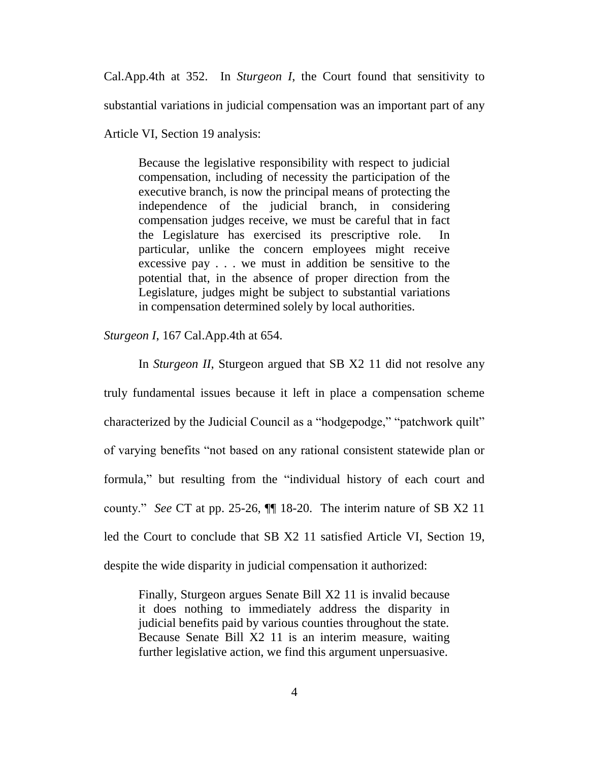Cal.App.4th at 352. In *Sturgeon I*, the Court found that sensitivity to substantial variations in judicial compensation was an important part of any

Article VI, Section 19 analysis:

Because the legislative responsibility with respect to judicial compensation, including of necessity the participation of the executive branch, is now the principal means of protecting the independence of the judicial branch, in considering compensation judges receive, we must be careful that in fact the Legislature has exercised its prescriptive role. In particular, unlike the concern employees might receive excessive pay . . . we must in addition be sensitive to the potential that, in the absence of proper direction from the Legislature, judges might be subject to substantial variations in compensation determined solely by local authorities.

*Sturgeon I*, 167 Cal.App.4th at 654.

In *Sturgeon II*, Sturgeon argued that SB X2 11 did not resolve any truly fundamental issues because it left in place a compensation scheme characterized by the Judicial Council as a "hodgepodge," "patchwork quilt" of varying benefits "not based on any rational consistent statewide plan or formula," but resulting from the "individual history of each court and county." *See* CT at pp. 25-26, ¶¶ 18-20. The interim nature of SB X2 11 led the Court to conclude that SB X2 11 satisfied Article VI, Section 19, despite the wide disparity in judicial compensation it authorized:

Finally, Sturgeon argues Senate Bill X2 11 is invalid because it does nothing to immediately address the disparity in judicial benefits paid by various counties throughout the state. Because Senate Bill X2 11 is an interim measure, waiting further legislative action, we find this argument unpersuasive.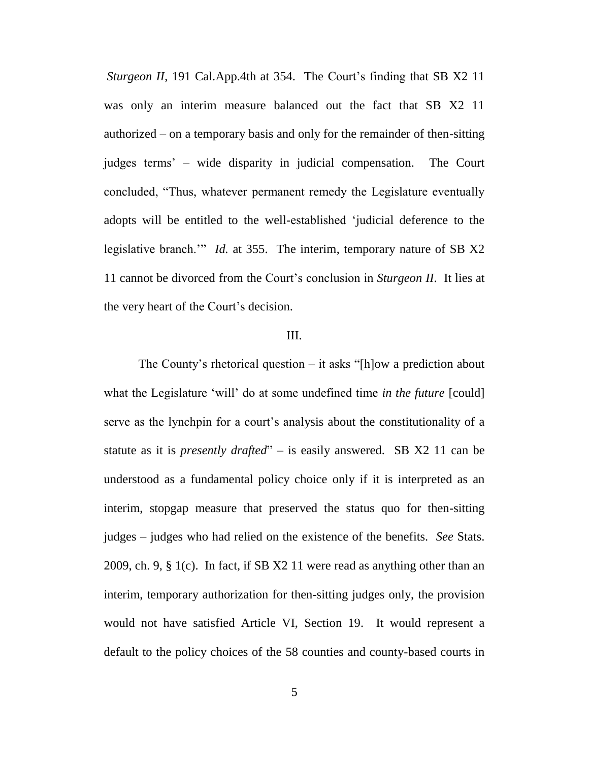*Sturgeon II*, 191 Cal.App.4th at 354. The Court's finding that SB X2 11 was only an interim measure balanced out the fact that SB X2 11 authorized – on a temporary basis and only for the remainder of then-sitting judges terms' – wide disparity in judicial compensation. The Court concluded, "Thus, whatever permanent remedy the Legislature eventually adopts will be entitled to the well-established 'judicial deference to the legislative branch.'" *Id.* at 355. The interim, temporary nature of SB X2 11 cannot be divorced from the Court's conclusion in *Sturgeon II*. It lies at the very heart of the Court's decision.

### III.

The County's rhetorical question  $-$  it asks "[h]ow a prediction about what the Legislature 'will' do at some undefined time *in the future* [could] serve as the lynchpin for a court's analysis about the constitutionality of a statute as it is *presently drafted*" – is easily answered. SB X2 11 can be understood as a fundamental policy choice only if it is interpreted as an interim, stopgap measure that preserved the status quo for then-sitting judges – judges who had relied on the existence of the benefits. *See* Stats. 2009, ch. 9, § 1(c). In fact, if SB X2 11 were read as anything other than an interim, temporary authorization for then-sitting judges only, the provision would not have satisfied Article VI, Section 19. It would represent a default to the policy choices of the 58 counties and county-based courts in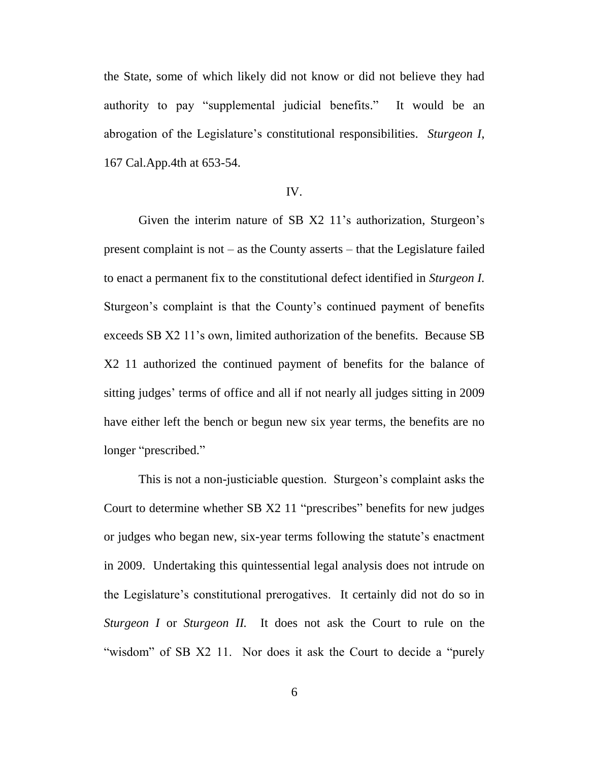the State, some of which likely did not know or did not believe they had authority to pay "supplemental judicial benefits." It would be an abrogation of the Legislature's constitutional responsibilities. *Sturgeon I*, 167 Cal.App.4th at 653-54.

#### IV.

Given the interim nature of SB X2 11's authorization, Sturgeon's present complaint is not – as the County asserts – that the Legislature failed to enact a permanent fix to the constitutional defect identified in *Sturgeon I.*  Sturgeon's complaint is that the County's continued payment of benefits exceeds SB X2 11's own, limited authorization of the benefits. Because SB X2 11 authorized the continued payment of benefits for the balance of sitting judges' terms of office and all if not nearly all judges sitting in 2009 have either left the bench or begun new six year terms, the benefits are no longer "prescribed."

This is not a non-justiciable question. Sturgeon's complaint asks the Court to determine whether SB X2 11 "prescribes" benefits for new judges or judges who began new, six-year terms following the statute's enactment in 2009. Undertaking this quintessential legal analysis does not intrude on the Legislature's constitutional prerogatives. It certainly did not do so in *Sturgeon I* or *Sturgeon II*. It does not ask the Court to rule on the "wisdom" of SB X2 11. Nor does it ask the Court to decide a "purely"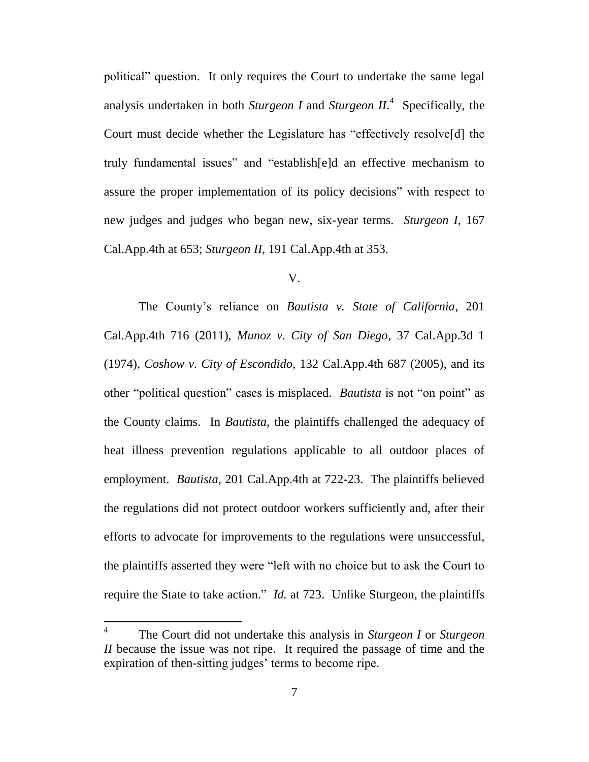political" question. It only requires the Court to undertake the same legal analysis undertaken in both *Sturgeon I* and *Sturgeon II*. 4 Specifically, the Court must decide whether the Legislature has "effectively resolve[d] the truly fundamental issues" and "establish[e]d an effective mechanism to assure the proper implementation of its policy decisions" with respect to new judges and judges who began new, six-year terms. *Sturgeon I*, 167 Cal.App.4th at 653; *Sturgeon II*, 191 Cal.App.4th at 353.

#### V.

The County's reliance on *Bautista v. State of California*, 201 Cal.App.4th 716 (2011), *Munoz v. City of San Diego*, 37 Cal.App.3d 1 (1974), *Coshow v. City of Escondido*, 132 Cal.App.4th 687 (2005), and its other "political question" cases is misplaced. *Bautista* is not "on point" as the County claims. In *Bautista*, the plaintiffs challenged the adequacy of heat illness prevention regulations applicable to all outdoor places of employment. *Bautista*, 201 Cal.App.4th at 722-23. The plaintiffs believed the regulations did not protect outdoor workers sufficiently and, after their efforts to advocate for improvements to the regulations were unsuccessful, the plaintiffs asserted they were "left with no choice but to ask the Court to require the State to take action." *Id.* at 723. Unlike Sturgeon, the plaintiffs

<sup>4</sup> The Court did not undertake this analysis in *Sturgeon I* or *Sturgeon II* because the issue was not ripe. It required the passage of time and the expiration of then-sitting judges' terms to become ripe.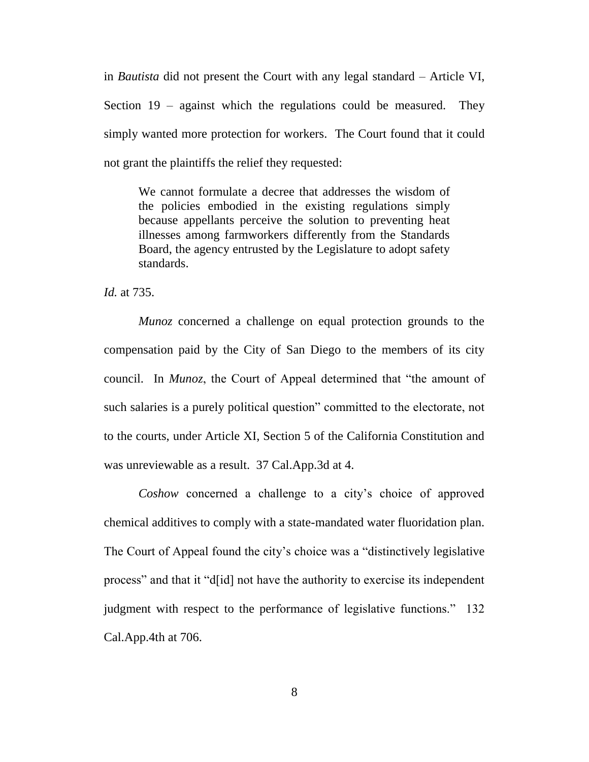in *Bautista* did not present the Court with any legal standard – Article VI, Section 19 – against which the regulations could be measured. They simply wanted more protection for workers. The Court found that it could not grant the plaintiffs the relief they requested:

We cannot formulate a decree that addresses the wisdom of the policies embodied in the existing regulations simply because appellants perceive the solution to preventing heat illnesses among farmworkers differently from the Standards Board, the agency entrusted by the Legislature to adopt safety standards.

*Id.* at 735.

*Munoz* concerned a challenge on equal protection grounds to the compensation paid by the City of San Diego to the members of its city council. In *Munoz*, the Court of Appeal determined that "the amount of such salaries is a purely political question" committed to the electorate, not to the courts, under Article XI, Section 5 of the California Constitution and was unreviewable as a result. 37 Cal.App.3d at 4.

*Coshow* concerned a challenge to a city's choice of approved chemical additives to comply with a state-mandated water fluoridation plan. The Court of Appeal found the city's choice was a "distinctively legislative process" and that it "d[id] not have the authority to exercise its independent judgment with respect to the performance of legislative functions." 132 Cal.App.4th at 706.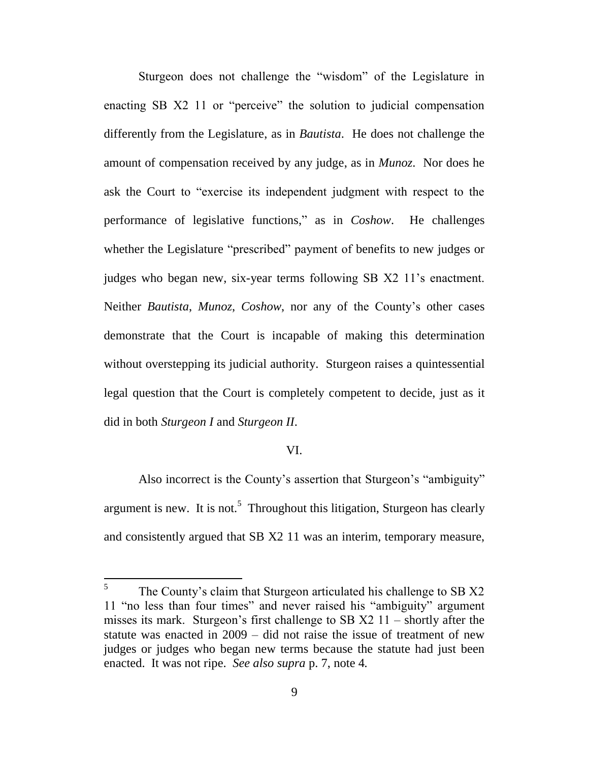Sturgeon does not challenge the "wisdom" of the Legislature in enacting SB X2 11 or "perceive" the solution to judicial compensation differently from the Legislature, as in *Bautista*. He does not challenge the amount of compensation received by any judge, as in *Munoz*. Nor does he ask the Court to "exercise its independent judgment with respect to the performance of legislative functions," as in *Coshow*. He challenges whether the Legislature "prescribed" payment of benefits to new judges or judges who began new, six-year terms following SB X2 11's enactment. Neither *Bautista*, *Munoz*, *Coshow*, nor any of the County's other cases demonstrate that the Court is incapable of making this determination without overstepping its judicial authority. Sturgeon raises a quintessential legal question that the Court is completely competent to decide, just as it did in both *Sturgeon I* and *Sturgeon II*.

### VI.

Also incorrect is the County's assertion that Sturgeon's "ambiguity" argument is new. It is not.<sup>5</sup> Throughout this litigation, Sturgeon has clearly and consistently argued that SB X2 11 was an interim, temporary measure,

<sup>5</sup> The County's claim that Sturgeon articulated his challenge to SB X2 11 "no less than four times" and never raised his "ambiguity" argument misses its mark. Sturgeon's first challenge to SB  $X2$  11 – shortly after the statute was enacted in 2009 – did not raise the issue of treatment of new judges or judges who began new terms because the statute had just been enacted. It was not ripe. *See also supra* p. 7, note 4*.*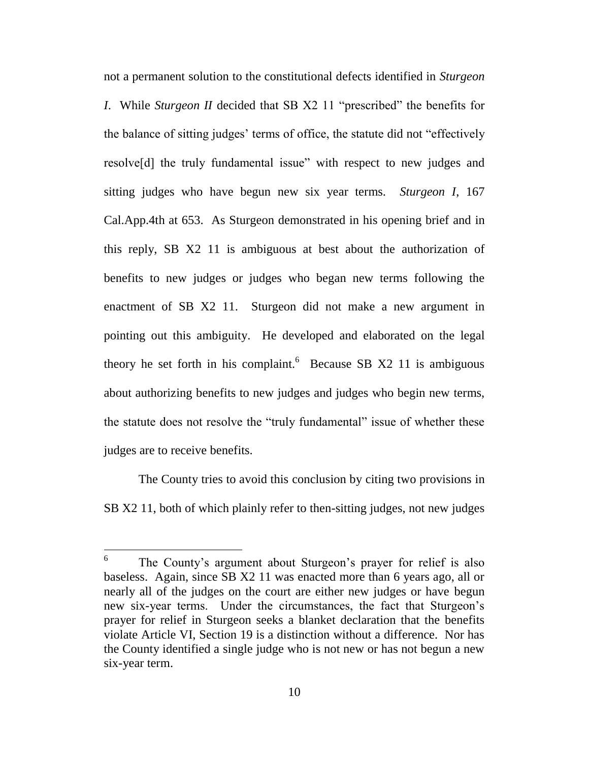not a permanent solution to the constitutional defects identified in *Sturgeon I*. While *Sturgeon II* decided that SB X2 11 "prescribed" the benefits for the balance of sitting judges' terms of office, the statute did not "effectively resolve[d] the truly fundamental issue" with respect to new judges and sitting judges who have begun new six year terms. *Sturgeon I*, 167 Cal.App.4th at 653. As Sturgeon demonstrated in his opening brief and in this reply, SB X2 11 is ambiguous at best about the authorization of benefits to new judges or judges who began new terms following the enactment of SB X2 11. Sturgeon did not make a new argument in pointing out this ambiguity. He developed and elaborated on the legal theory he set forth in his complaint. Because SB  $X2$  11 is ambiguous about authorizing benefits to new judges and judges who begin new terms, the statute does not resolve the "truly fundamental" issue of whether these judges are to receive benefits.

The County tries to avoid this conclusion by citing two provisions in SB X2 11, both of which plainly refer to then-sitting judges, not new judges

<sup>6</sup> The County's argument about Sturgeon's prayer for relief is also baseless. Again, since SB X2 11 was enacted more than 6 years ago, all or nearly all of the judges on the court are either new judges or have begun new six-year terms. Under the circumstances, the fact that Sturgeon's prayer for relief in Sturgeon seeks a blanket declaration that the benefits violate Article VI, Section 19 is a distinction without a difference. Nor has the County identified a single judge who is not new or has not begun a new six-year term.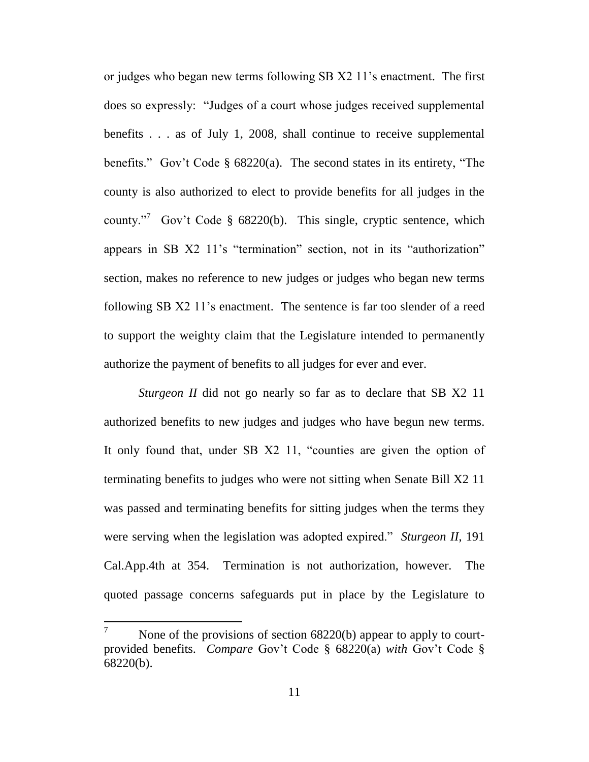or judges who began new terms following SB X2 11's enactment. The first does so expressly: "Judges of a court whose judges received supplemental benefits . . . as of July 1, 2008, shall continue to receive supplemental benefits." Gov't Code § 68220(a). The second states in its entirety, "The county is also authorized to elect to provide benefits for all judges in the county."<sup>7</sup> Gov't Code § 68220(b). This single, cryptic sentence, which appears in SB X2 11's "termination" section, not in its "authorization" section, makes no reference to new judges or judges who began new terms following SB X2 11's enactment. The sentence is far too slender of a reed to support the weighty claim that the Legislature intended to permanently authorize the payment of benefits to all judges for ever and ever.

*Sturgeon II* did not go nearly so far as to declare that SB X2 11 authorized benefits to new judges and judges who have begun new terms. It only found that, under SB X2 11, "counties are given the option of terminating benefits to judges who were not sitting when Senate Bill X2 11 was passed and terminating benefits for sitting judges when the terms they were serving when the legislation was adopted expired." *Sturgeon II*, 191 Cal.App.4th at 354. Termination is not authorization, however. The quoted passage concerns safeguards put in place by the Legislature to

None of the provisions of section 68220(b) appear to apply to courtprovided benefits. *Compare* Gov't Code § 68220(a) *with* Gov't Code § 68220(b).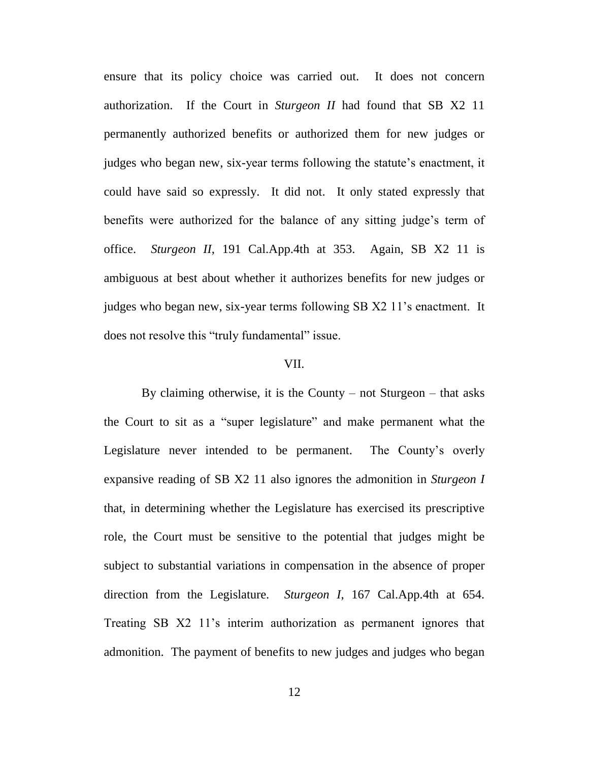ensure that its policy choice was carried out. It does not concern authorization. If the Court in *Sturgeon II* had found that SB X2 11 permanently authorized benefits or authorized them for new judges or judges who began new, six-year terms following the statute's enactment, it could have said so expressly. It did not. It only stated expressly that benefits were authorized for the balance of any sitting judge's term of office. *Sturgeon II*, 191 Cal.App.4th at 353. Again, SB X2 11 is ambiguous at best about whether it authorizes benefits for new judges or judges who began new, six-year terms following SB X2 11's enactment. It does not resolve this "truly fundamental" issue.

#### VII.

By claiming otherwise, it is the County – not Sturgeon – that asks the Court to sit as a "super legislature" and make permanent what the Legislature never intended to be permanent. The County's overly expansive reading of SB X2 11 also ignores the admonition in *Sturgeon I* that, in determining whether the Legislature has exercised its prescriptive role, the Court must be sensitive to the potential that judges might be subject to substantial variations in compensation in the absence of proper direction from the Legislature. *Sturgeon I*, 167 Cal.App.4th at 654. Treating SB X2 11's interim authorization as permanent ignores that admonition. The payment of benefits to new judges and judges who began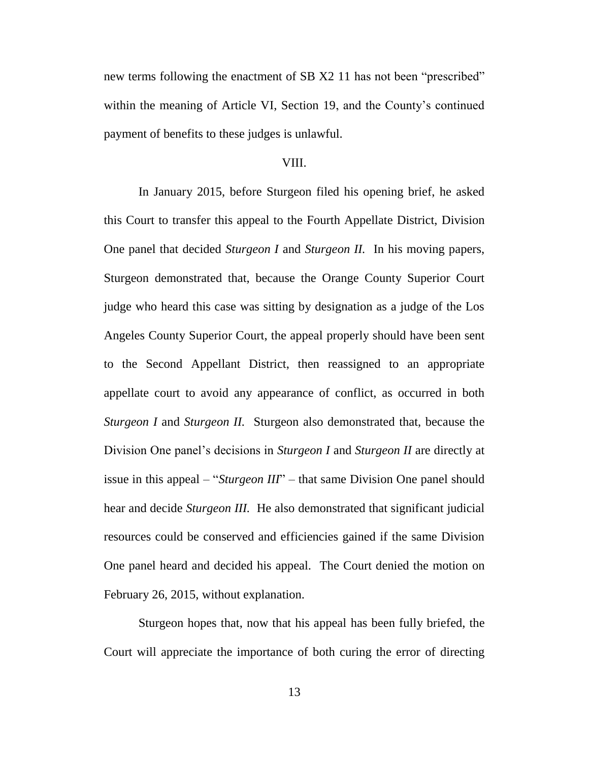new terms following the enactment of SB X2 11 has not been "prescribed" within the meaning of Article VI, Section 19, and the County's continued payment of benefits to these judges is unlawful.

#### VIII.

In January 2015, before Sturgeon filed his opening brief, he asked this Court to transfer this appeal to the Fourth Appellate District, Division One panel that decided *Sturgeon I* and *Sturgeon II.* In his moving papers, Sturgeon demonstrated that, because the Orange County Superior Court judge who heard this case was sitting by designation as a judge of the Los Angeles County Superior Court, the appeal properly should have been sent to the Second Appellant District, then reassigned to an appropriate appellate court to avoid any appearance of conflict, as occurred in both *Sturgeon I* and *Sturgeon II.* Sturgeon also demonstrated that, because the Division One panel's decisions in *Sturgeon I* and *Sturgeon II* are directly at issue in this appeal – "*Sturgeon III*" – that same Division One panel should hear and decide *Sturgeon III.* He also demonstrated that significant judicial resources could be conserved and efficiencies gained if the same Division One panel heard and decided his appeal. The Court denied the motion on February 26, 2015, without explanation.

Sturgeon hopes that, now that his appeal has been fully briefed, the Court will appreciate the importance of both curing the error of directing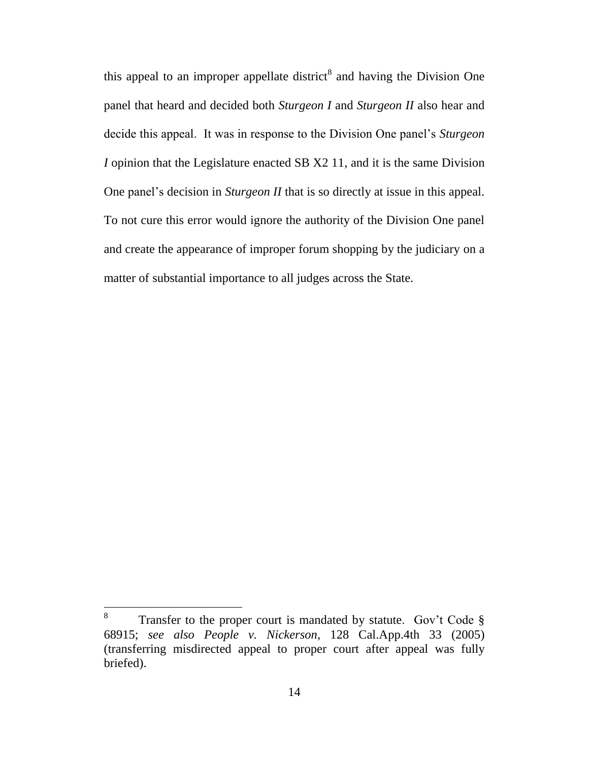this appeal to an improper appellate district<sup>8</sup> and having the Division One panel that heard and decided both *Sturgeon I* and *Sturgeon II* also hear and decide this appeal. It was in response to the Division One panel's *Sturgeon I* opinion that the Legislature enacted SB X2 11, and it is the same Division One panel's decision in *Sturgeon II* that is so directly at issue in this appeal. To not cure this error would ignore the authority of the Division One panel and create the appearance of improper forum shopping by the judiciary on a matter of substantial importance to all judges across the State.

<sup>8</sup> Transfer to the proper court is mandated by statute. Gov't Code § 68915; *see also People v. Nickerson*, 128 Cal.App.4th 33 (2005) (transferring misdirected appeal to proper court after appeal was fully briefed).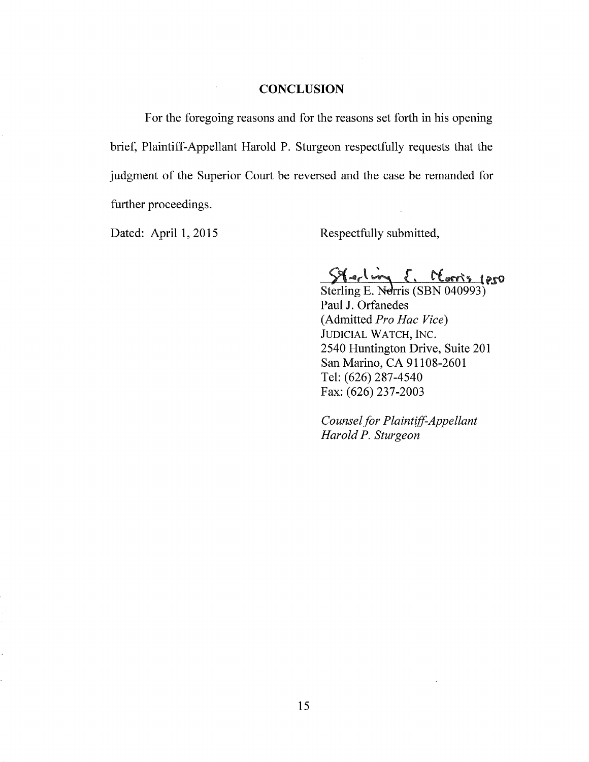#### **CONCLUSION**

For the foregoing reasons and for the reasons set forth in his opening brief, Plaintiff-Appellant Harold P. Sturgeon respectfully requests that the judgment of the Superior Court be reversed and the case be remanded for further proceedings.

Dated: April 1, 2015

Respectfully submitted,

 $214 - 124$  d. Lums (250

Sterling E. Nerris (SBN 040993) Paul J. Orfanedes (Admitted *Pro Hac Vice)*  JUDICIAL WATCH, INC. 2540 Huntington Drive, Suite 201 San Marino, CA 91108-2601 Tel: (626) 287-4540 Fax: (626) 237-2003

*Counsel for Plaintiff-Appellant Harold P. Sturgeon*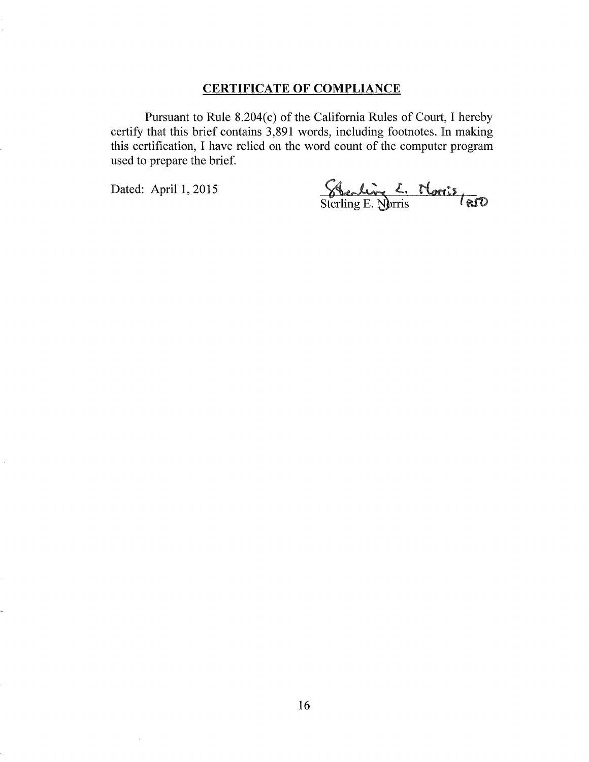## **CERTIFICATE OF COMPLIANCE**

Pursuant to Rule 8.204(c) of the California Rules of Court, I hereby certify that this brief contains 3,891 words, including footnotes. In making this certification, I have relied on the word count of the computer program used to prepare the brief.

Dated: April 1, 2015 <br>Sterling E. **W**rris *( este*)